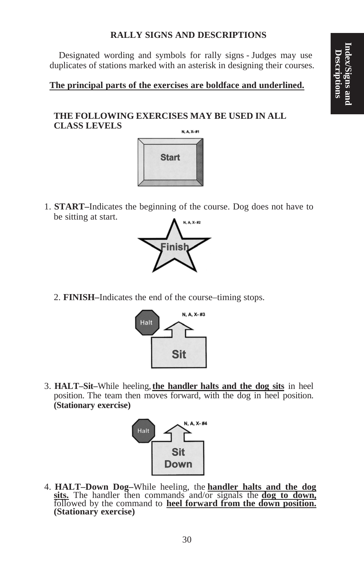# **RALLY SIGNS AND DESCRIPTIONS**

Designated wording and symbols for rally signs - Judges may use duplicates of stations marked with an asterisk in designing their courses.

### **The principal parts of the exercises are boldface and underlined.**

# **THE FOLLOWING EXERCISES MAY BE USED IN ALL CLASS LEVELS**



1. **START–**Indicates the beginning of the course. Dog does not have to be sitting at start.



2. **FINISH–**Indicates the end of the course–timing stops.



3. **HALT–Sit–**While heeling,**the handler halts and the dog sits** in heel position. The team then moves forward, with the dog in heel position. **(Stationary exercise)**



4. **HALT–Down Dog–**While heeling, the **handler halts and the dog** followed by the command to heel forward from the down position.<br>(Stationary exercise)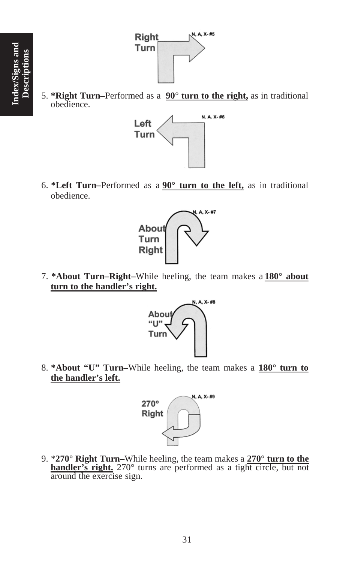

5. **\*Right Turn–**Performed as a **90° turn to the right,** as in traditional obedience.



6. **\*Left Turn–**Performed as a **90° turn to the left,** as in traditional obedience.



7. **\*About Turn–Right–**While heeling, the team makes a **180° about turn to the handler's right.**



8. **\*About "U" Turn–**While heeling, the team makes a **180° turn to the handler's left.**



9. \***270° Right Turn–**While heeling, the team makes a **270° turn to the handler's right.** 270° turns are performed as a tight circle, but not around the exercise sign.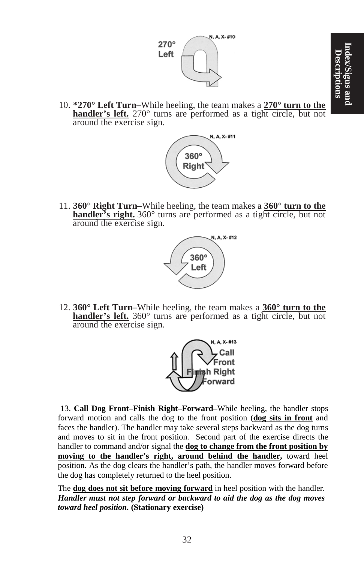

10. **\*270° Left Turn–**While heeling, the team makes a **270° turn to the handler's left.** 270° turns are performed as a tight circle, but not around the exercise sign.



11. **360° Right Turn–**While heeling, the team makes a **360° turn to the handler's right.** 360° turns are performed as a tight circle, but not around the exercise sign.



12. **360° Left Turn–**While heeling, the team makes a **360° turn to the handler's left.** 360° turns are performed as a tight circle, but not around the exercise sign.



13. **Call Dog Front–Finish Right–Forward–**While heeling, the handler stops forward motion and calls the dog to the front position (**dog sits in front** and faces the handler). The handler may take several steps backward as the dog turns and moves to sit in the front position. Second part of the exercise directs the handler to command and/or signal the **dog to change from the front position by moving to the handler's right, around behind the handler,** toward heel position. As the dog clears the handler's path, the handler moves forward before the dog has completely returned to the heel position.

The **dog does not sit before moving forward** in heel position with the handler. *Handler must not step forward or backward to aid the dog as the dog moves toward heel position.* **(Stationary exercise)**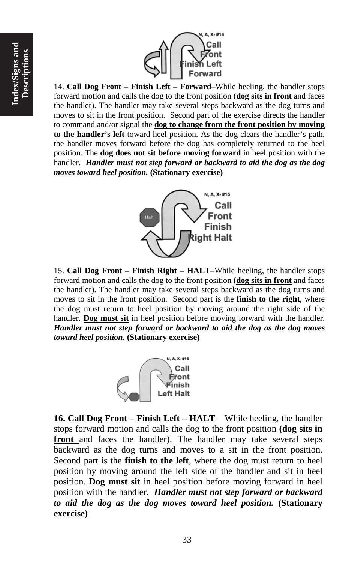

14. **Call Dog Front – Finish Left – Forward**–While heeling, the handler stops forward motion and calls the dog to the front position (**dog sits in front** and faces the handler). The handler may take several steps backward as the dog turns and moves to sit in the front position. Second part of the exercise directs the handler to command and/or signal the **dog to change from the front position by moving to the handler's left** toward heel position. As the dog clears the handler's path, the handler moves forward before the dog has completely returned to the heel position. The **dog does not sit before moving forward** in heel position with the handler. *Handler must not step forward or backward to aid the dog as the dog moves toward heel position.* **(Stationary exercise)**



15. **Call Dog Front – Finish Right – HALT**–While heeling, the handler stops forward motion and calls the dog to the front position (**dog sits in front** and faces the handler). The handler may take several steps backward as the dog turns and moves to sit in the front position. Second part is the **finish to the right**, where the dog must return to heel position by moving around the right side of the handler. **Dog must sit** in heel position before moving forward with the handler. *Handler must not step forward or backward to aid the dog as the dog moves toward heel position.* **(Stationary exercise)**



**16. Call Dog Front – Finish Left – HALT** – While heeling, the handler stops forward motion and calls the dog to the front position **(dog sits in front** and faces the handler). The handler may take several steps backward as the dog turns and moves to a sit in the front position. Second part is the **finish to the left**, where the dog must return to heel position by moving around the left side of the handler and sit in heel position. **Dog must sit** in heel position before moving forward in heel position with the handler. *Handler must not step forward or backward to aid the dog as the dog moves toward heel position.* **(Stationary exercise)**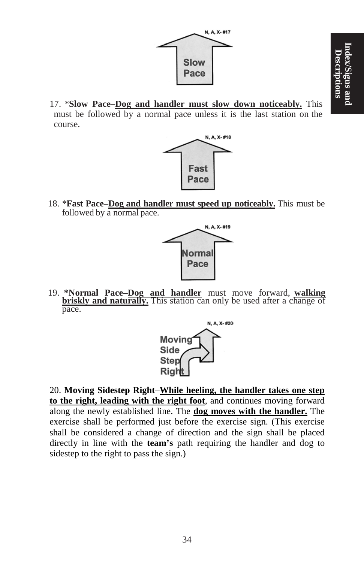

17. \***Slow Pace–Dog and handler must slow down noticeably.** This must be followed by a normal pace unless it is the last station on the course.



18. \***Fast Pace–Dog and handler must speed up noticeably.** This must be followed by a normal pace.



19. **\*Normal Pace–Dog and handler** must move forward, **walking briskly and naturally.** This station can only be used after a change of pace.



20. **Moving Sidestep Right**–**While heeling, the handler takes one step to the right, leading with the right foot**, and continues moving forward along the newly established line. The **dog moves with the handler.** The exercise shall be performed just before the exercise sign. (This exercise shall be considered a change of direction and the sign shall be placed directly in line with the **team's** path requiring the handler and dog to sidestep to the right to pass the sign.)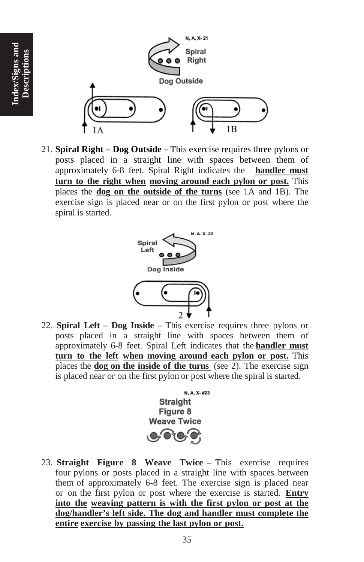

**Index/Signs and Descriptions**

Index/Signs and

21. **Spiral Right – Dog Outside –** This exercise requires three pylons or posts placed in a straight line with spaces between them of approximately 6-8 feet. Spiral Right indicates the **handler must turn to the right when moving around each pylon or post.** This places the **dog on the outside of the turns** (see 1A and 1B). The exercise sign is placed near or on the first pylon or post where the spiral is started.



22. **Spiral Left – Dog Inside –** This exercise requires three pylons or posts placed in a straight line with spaces between them of approximately 6-8 feet. Spiral Left indicates that the **handler must turn to the left when moving around each pylon or post.** This places the **dog on the inside of the turns** (see 2). The exercise sign is placed near or on the first pylon or post where the spiral is started.



23. **Straight Figure 8 Weave Twice –** This exercise requires four pylons or posts placed in a straight line with spaces between them of approximately 6-8 feet. The exercise sign is placed near or on the first pylon or post where the exercise is started. **Entry into the weaving pattern is with the first pylon or post at the dog/handler's left side. The dog and handler must complete the entire exercise by passing the last pylon or post.**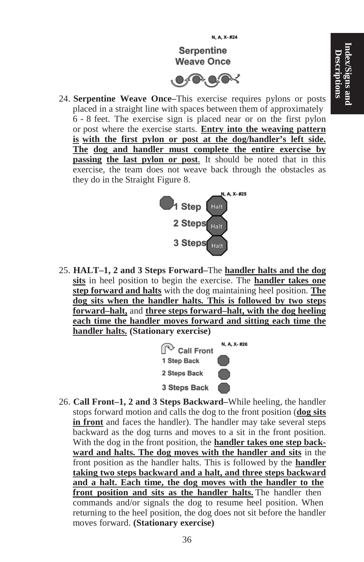

24. **Serpentine Weave Once–**This exercise requires pylons or posts placed in a straight line with spaces between them of approximately 6 - 8 feet. The exercise sign is placed near or on the first pylon or post where the exercise starts. **Entry into the weaving pattern is with the first pylon or post at the dog/handler's left side. The dog and handler must complete the entire exercise by passing the last pylon or post**. It should be noted that in this exercise, the team does not weave back through the obstacles as they do in the Straight Figure 8.



25. **HALT–1, 2 and 3 Steps Forward–**The **handler halts and the dog sits** in heel position to begin the exercise. The **handler takes one step forward and halts** with the dog maintaining heel position. **The dog sits when the handler halts. This is followed by two steps forward–halt,** and **three steps forward–halt, with the dog heeling each time the handler moves forward and sitting each time the handler halts. (Stationary exercise)**



26. **Call Front–1, 2 and 3 Steps Backward–**While heeling, the handler stops forward motion and calls the dog to the front position (**dog sits in front** and faces the handler). The handler may take several steps backward as the dog turns and moves to a sit in the front position. With the dog in the front position, the **handler takes one step backward and halts. The dog moves with the handler and sits** in the front position as the handler halts. This is followed by the **handler taking two steps backward and a halt, and three steps backward and a halt. Each time, the dog moves with the handler to the front position and sits as the handler halts.** The handler then commands and/or signals the dog to resume heel position. When returning to the heel position, the dog does not sit before the handler moves forward. **(Stationary exercise)**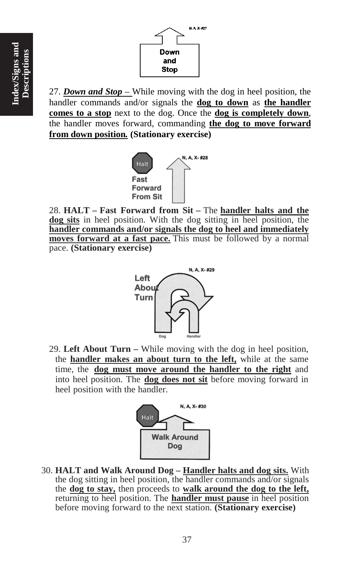

27. *Down and Stop* – While moving with the dog in heel position, the handler commands and/or signals the **dog to down** as **the handler comes to a stop** next to the dog. Once the **dog is completely down**, the handler moves forward, commanding **the dog to move forward from down position***.* **(Stationary exercise)**



28. **HALT – Fast Forward from Sit –** The **handler halts and the dog sits** in heel position. With the dog sitting in heel position, the **handler commands and/or signals the dog to heel and immediately moves forward at a fast pace.** This must be followed by a normal pace. **(Stationary exercise)**



29. **Left About Turn –** While moving with the dog in heel position, the **handler makes an about turn to the left,** while at the same time, the **dog must move around the handler to the right** and into heel position. The **dog does not sit** before moving forward in heel position with the handler.



30. **HALT and Walk Around Dog – Handler halts and dog sits.** With the dog sitting in heel position, the handler commands and/or signals the **dog to stay,** then proceeds to **walk around the dog to the left,** returning to heel position. The **handler must pause** in heel position before moving forward to the next station. **(Stationary exercise)**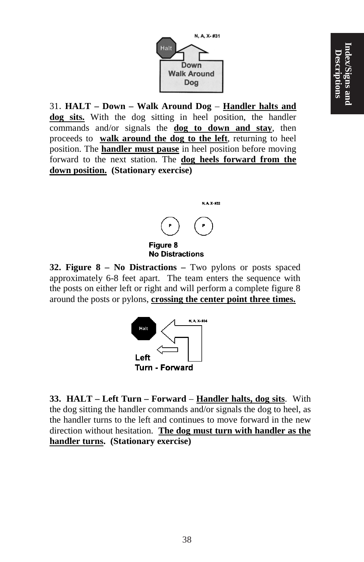

31. **HALT – Down – Walk Around Dog** – **Handler halts and dog sits.** With the dog sitting in heel position, the handler commands and/or signals the **dog to down and stay**, then proceeds to **walk around the dog to the left**, returning to heel position. The **handler must pause** in heel position before moving forward to the next station. The **dog heels forward from the down position. (Stationary exercise)**



#### **Figure 8 No Distractions**

**32. Figure 8 – No Distractions –** Two pylons or posts spaced approximately 6-8 feet apart. The team enters the sequence with the posts on either left or right and will perform a complete figure 8 around the posts or pylons, **crossing the center point three times.**



**33. HALT – Left Turn – Forward** – **Handler halts, dog sits**. With the dog sitting the handler commands and/or signals the dog to heel, as the handler turns to the left and continues to move forward in the new direction without hesitation. **The dog must turn with handler as the handler turns. (Stationary exercise)**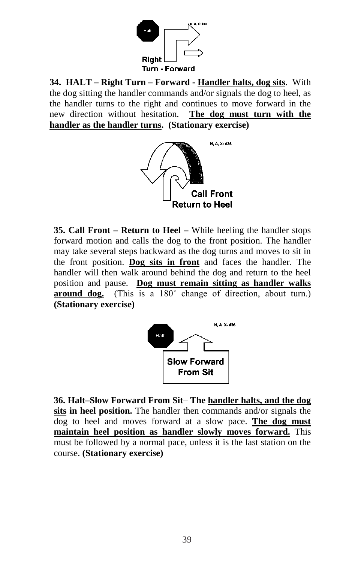

**34. HALT – Right Turn – Forward - Handler halts, dog sits**. With the dog sitting the handler commands and/or signals the dog to heel, as the handler turns to the right and continues to move forward in the new direction without hesitation. **The dog must turn with the handler as the handler turns. (Stationary exercise)**



**35. Call Front – Return to Heel –** While heeling the handler stops forward motion and calls the dog to the front position. The handler may take several steps backward as the dog turns and moves to sit in the front position. **Dog sits in front** and faces the handler. The handler will then walk around behind the dog and return to the heel position and pause. **Dog must remain sitting as handler walks around dog.** (This is a 180˚ change of direction, about turn.) **(Stationary exercise)**



**36. Halt–Slow Forward From Sit**– **The handler halts, and the dog sits in heel position.** The handler then commands and/or signals the dog to heel and moves forward at a slow pace. **The dog must maintain heel position as handler slowly moves forward.** This must be followed by a normal pace, unless it is the last station on the course. **(Stationary exercise)**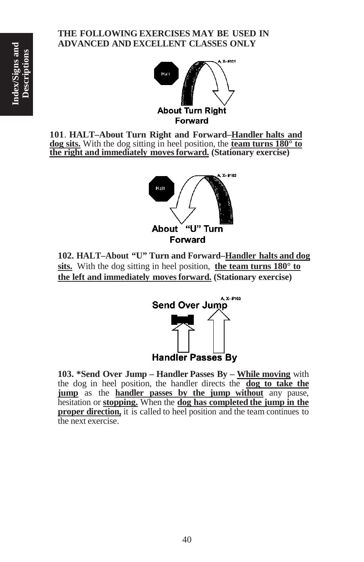### **THE FOLLOWING EXERCISES MAY BE USED IN ADVANCED AND EXCELLENT CLASSES ONLY**



**101**. **HALT–About Turn Right and Forward–Handler halts and dog sits.** With the dog sitting in heel position, the **team turns 180° to the right and immediately movesforward. (Stationary exercise)**



**102. HALT–About "U" Turn and Forward–Handler halts and dog sits.** With the dog sitting in heel position, **the team turns 180° to the left and immediately movesforward. (Stationary exercise)**



 **103. \*Send Over Jump – Handler Passes By – While moving** with the dog in heel position, the handler directs the **dog to take the jump** as the **handler passes by the jump without** any pause, hesitation or **stopping.** When the **dog has completed the jump in the proper direction,** it is called to heel position and the team continues to the next exercise.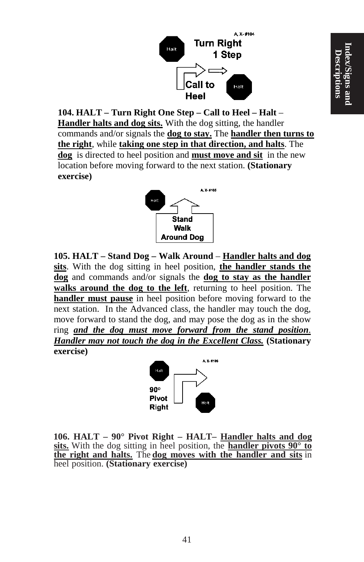

**104. HALT – Turn Right One Step – Call to Heel – Halt** – **Handler halts and dog sits.** With the dog sitting, the handler commands and/or signals the **dog to stay.** The **handler then turns to the right**, while **taking one step in that direction, and halts**. The **dog** is directed to heel position and **must move and sit** in the new location before moving forward to the next station. **(Stationary exercise)**



**105. HALT – Stand Dog – Walk Around** – **Handler halts and dog sits**. With the dog sitting in heel position, **the handler stands the dog** and commands and/or signals the **dog to stay as the handler walks around the dog to the left**, returning to heel position. The **handler must pause** in heel position before moving forward to the next station. In the Advanced class, the handler may touch the dog, move forward to stand the dog, and may pose the dog as in the show ring *and the dog must move forward from the stand position*. *Handler may not touch the dog in the Excellent Class.* **(Stationary exercise)**



 **106. HALT – 90° Pivot Right – HALT– Handler halts and dog sits.** With the dog sitting in heel position, the **handler pivots 90° to the right and halts.** The **dog moves with the handler and sits** in heel position. **(Stationary exercise)**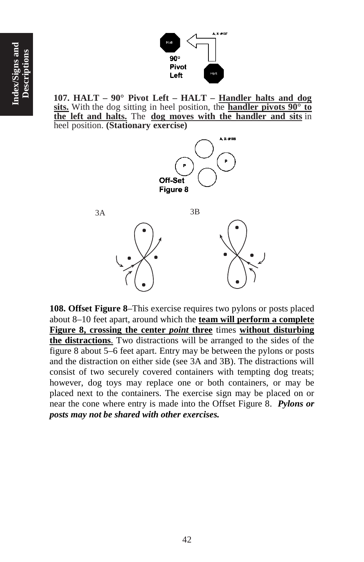

 **107. HALT – 90° Pivot Left – HALT – Handler halts and dog sits.** With the dog sitting in heel position, the **handler pivots 90° to the left and halts.** The **dog moves with the handler and sits** in heel position. **(Stationary exercise)**



**108. Offset Figure 8**–This exercise requires two pylons or posts placed about 8–10 feet apart, around which the **team will perform a complete Figure 8, crossing the center** *point* **three** times **without disturbing the distractions**. Two distractions will be arranged to the sides of the figure 8 about 5–6 feet apart. Entry may be between the pylons or posts and the distraction on either side (see 3A and 3B). The distractions will consist of two securely covered containers with tempting dog treats; however, dog toys may replace one or both containers, or may be placed next to the containers. The exercise sign may be placed on or near the cone where entry is made into the Offset Figure 8. *Pylons or posts may not be shared with other exercises.*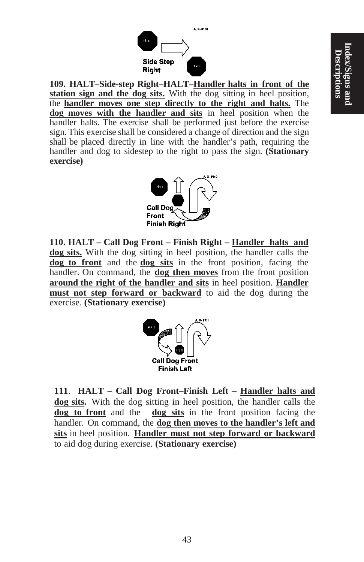

**109. HALT–Side-step Right–HALT–Handler halts in front of the station sign and the dog sits.** With the dog sitting in heel position, the **handler moves one step directly to the right and halts.** The **dog moves with the handler and sits** in heel position when the handler halts. The exercise shall be performed just before the exercise sign. This exercise shall be considered a change of direction and the sign shall be placed directly in line with the handler's path, requiring the handler and dog to sidestep to the right to pass the sign. **(Stationary exercise)**



 **110. HALT – Call Dog Front – Finish Right – Handler halts and dog sits.** With the dog sitting in heel position, the handler calls the **dog to front** and the **dog sits** in the front position, facing the handler. On command, the **dog then moves** from the front position **around the right of the handler and sits** in heel position. **Handler must not step forward or backward** to aid the dog during the exercise. **(Stationary exercise)**



**111**. **HALT – Call Dog Front–Finish Left – Handler halts and dog sits.** With the dog sitting in heel position, the handler calls the **dog to front** and the **dog sits** in the front position facing the handler. On command, the **dog then moves to the handler's left and sits** in heel position. **Handler must not step forward or backward** to aid dog during exercise. **(Stationary exercise)**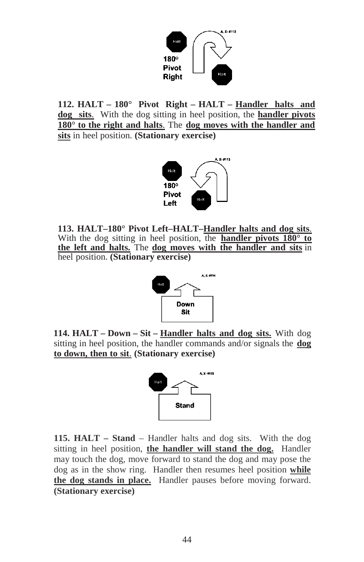

**112. HALT – 180° Pivot Right – HALT – Handler halts and dog sits**. With the dog sitting in heel position, the **handler pivots 180° to the right and halts**. The **dog moves with the handler and sits** in heel position. **(Stationary exercise)**



 **113. HALT–180° Pivot Left–HALT–Handler halts and dog sits**. With the dog sitting in heel position, the **handler pivots 180° to the left and halts.** The **dog moves with the handler and sits** in heel position. **(Stationary exercise)**



 **114. HALT – Down – Sit – Handler halts and dog sits.** With dog sitting in heel position, the handler commands and/or signals the **dog to down, then to sit**. **(Stationary exercise)**



**115. HALT – Stand** – Handler halts and dog sits. With the dog sitting in heel position, **the handler will stand the dog.** Handler may touch the dog, move forward to stand the dog and may pose the dog as in the show ring. Handler then resumes heel position **while the dog stands in place.** Handler pauses before moving forward. **(Stationary exercise)**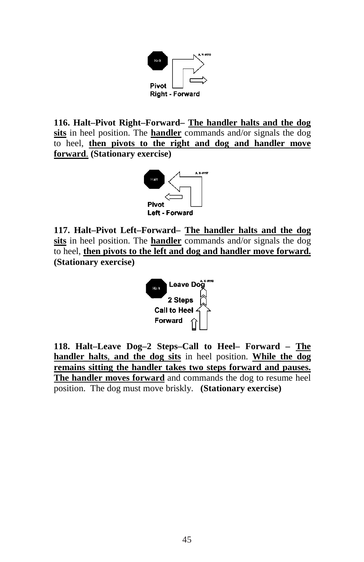

**116. Halt–Pivot Right–Forward– The handler halts and the dog sits** in heel position. The **handler** commands and/or signals the dog to heel, **then pivots to the right and dog and handler move forward**. **(Stationary exercise)**



**117. Halt–Pivot Left–Forward– The handler halts and the dog sits** in heel position. The **handler** commands and/or signals the dog to heel, **then pivots to the left and dog and handler move forward. (Stationary exercise)**



**118. Halt–Leave Dog–2 Steps–Call to Heel– Forward – The handler halts**, **and the dog sits** in heel position. **While the dog remains sitting the handler takes two steps forward and pauses. The handler moves forward** and commands the dog to resume heel position. The dog must move briskly. **(Stationary exercise)**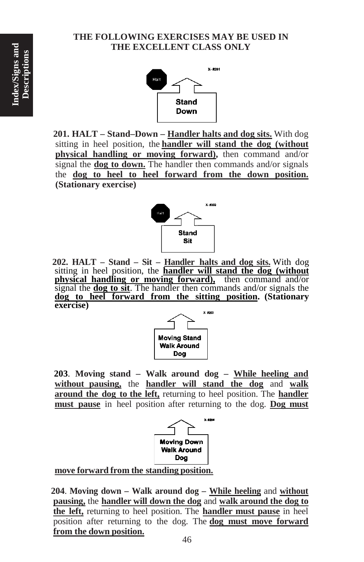# **THE FOLLOWING EXERCISES MAY BE USED IN THE EXCELLENT CLASS ONLY**



**201. HALT – Stand–Down – Handler halts and dog sits.** With dog sitting in heel position, the **handler will stand the dog (without physical handling or moving forward),** then command and/or signal the **dog to down.** The handler then commands and/or signals the **dog to heel to heel forward from the down position. (Stationary exercise)**



 **202. HALT – Stand – Sit – Handler halts and dog sits.** With dog sitting in heel position, the **handler will stand the dog (without physical handling or moving forward),** then command and/or signal the **dog to sit**. The handler then commands and/or signals the **dog to heel forward from the sitting position. (Stationary exercise)**



 **203**. **Moving stand – Walk around dog – While heeling and without pausing,** the **handler will stand the dog** and **walk around the dog to the left,** returning to heel position. The **handler must pause** in heel position after returning to the dog. **Dog must**



**move forward from the standing position.**

 **204**. **Moving down – Walk around dog – While heeling** and **without pausing,** the **handler will down the dog** and **walk around the dog to the left,** returning to heel position. The **handler must pause** in heel position after returning to the dog. The **dog must move forward from the down position.**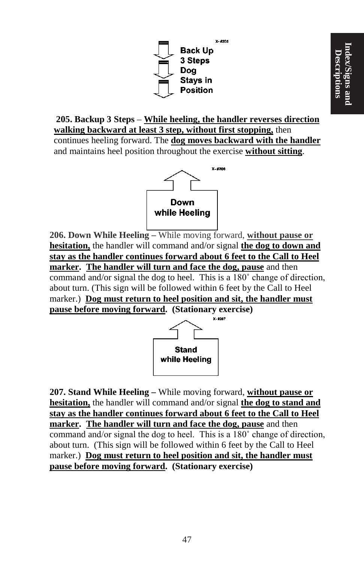

**205. Backup 3 Steps** – **While heeling, the handler reverses direction walking backward at least 3 step, without first stopping,** then continues heeling forward. The **dog moves backward with the handler** and maintains heel position throughout the exercise **without sitting**.



**206. Down While Heeling –** While moving forward, **without pause or hesitation,** the handler will command and/or signal **the dog to down and stay as the handler continues forward about 6 feet to the Call to Heel marker. The handler will turn and face the dog, pause** and then command and/or signal the dog to heel. This is a 180˚ change of direction, about turn. (This sign will be followed within 6 feet by the Call to Heel marker.) **Dog must return to heel position and sit, the handler must pause before moving forward. (Stationary exercise)**



**207. Stand While Heeling –** While moving forward, **without pause or hesitation,** the handler will command and/or signal **the dog to stand and stay as the handler continues forward about 6 feet to the Call to Heel marker. The handler will turn and face the dog, pause** and then command and/or signal the dog to heel. This is a 180˚ change of direction, about turn. (This sign will be followed within 6 feet by the Call to Heel marker.) **Dog must return to heel position and sit, the handler must pause before moving forward. (Stationary exercise)**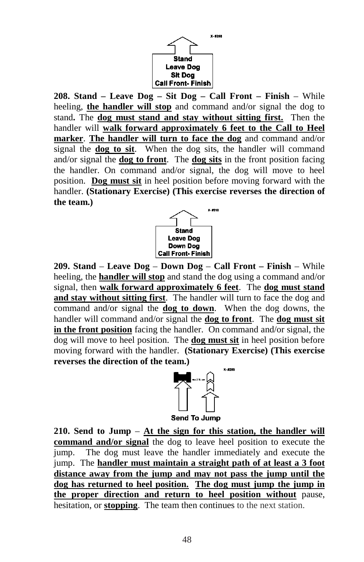

**208. Stand – Leave Dog – Sit Dog – Call Front – Finish** – While heeling, **the handler will stop** and command and/or signal the dog to stand**.** The **dog must stand and stay without sitting first.** Then the handler will **walk forward approximately 6 feet to the Call to Heel marker**. **The handler will turn to face the dog** and command and/or signal the **dog to sit**. When the dog sits, the handler will command and/or signal the **dog to front**. The **dog sits** in the front position facing the handler. On command and/or signal, the dog will move to heel position. **Dog must sit** in heel position before moving forward with the handler. **(Stationary Exercise) (This exercise reverses the direction of the team.)**



**209. Stand** – **Leave Dog** – **Down Dog** – **Call Front – Finish** – While heeling, the **handler will stop** and stand the dog using a command and/or signal, then **walk forward approximately 6 feet**. The **dog must stand and stay without sitting first**. The handler will turn to face the dog and command and/or signal the **dog to down**. When the dog downs, the handler will command and/or signal the **dog to front**. The **dog must sit in the front position** facing the handler. On command and/or signal, the dog will move to heel position. The **dog must sit** in heel position before moving forward with the handler. **(Stationary Exercise) (This exercise reverses the direction of the team.)**



**210. Send to Jump** – **At the sign for this station, the handler will command and/or signal** the dog to leave heel position to execute the jump. The dog must leave the handler immediately and execute the jump. The **handler must maintain a straight path of at least a 3 foot distance away from the jump and may not pass the jump until the dog has returned to heel position. The dog must jump the jump in the proper direction and return to heel position without** pause, hesitation, or **stopping**. The team then continues to the next station.